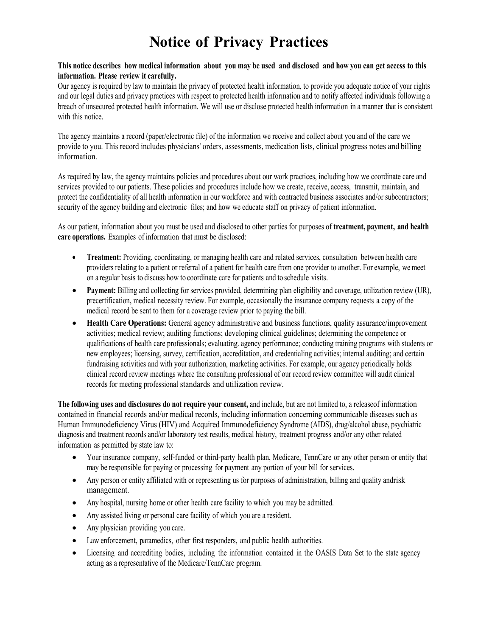### **This notice describes how medical information about you may be used and disclosed and how you can get access to this information. Please review it carefully.**

Our agency is required by law to maintain the privacy of protected health information, to provide you adequate notice of your rights and our legal duties and privacy practices with respect to protected health information and to notify affected individuals following a breach of unsecured protected health information. We will use or disclose protected health information in a manner that is consistent with this notice.

The agency maintains a record (paper/electronic file) of the information we receive and collect about you and of the care we provide to you. This record includes physicians' orders, assessments, medication lists, clinical progress notes and billing information.

As required by law, the agency maintains policies and procedures about our work practices, including how we coordinate care and services provided to our patients. These policies and procedures include how we create, receive, access, transmit, maintain, and protect the confidentiality of all health information in our workforce and with contracted business associates and/or subcontractors; security of the agency building and electronic files; and how we educate staff on privacy of patient information.

As our patient, information about you must be used and disclosed to other parties for purposes of **treatment, payment, and health care operations.** Examples of information that must be disclosed:

- **Treatment:** Providing, coordinating, or managing health care and related services, consultation between health care providers relating to a patient or referral of a patient for health care from one provider to another. For example, we meet on a regular basis to discuss how to coordinate care for patients and to schedule visits.
- **Payment:** Billing and collecting for services provided, determining plan eligibility and coverage, utilization review (UR), precertification, medical necessity review. For example, occasionally the insurance company requests a copy of the medical record be sent to them for a coverage review prior to paying the bill.
- **Health Care Operations:** General agency administrative and business functions, quality assurance/improvement activities; medical review; auditing functions; developing clinical guidelines; determining the competence or qualifications of health care professionals; evaluating. agency performance; conducting training programs with students or new employees; licensing, survey, certification, accreditation, and credentialing activities; internal auditing; and certain fundraising activities and with your authorization, marketing activities. For example, our agency periodically holds clinical record review meetings where the consulting professional of our record review committee will audit clinical records for meeting professional standards and utilization review.

**The following uses and disclosures do not require your consent,** and include, but are not limited to, a releaseof information contained in financial records and/or medical records, including information concerning communicable diseases such as Human Immunodeficiency Virus (HIV) and Acquired Immunodeficiency Syndrome (AIDS), drug/alcohol abuse, psychiatric diagnosis and treatment records and/or laboratory test results, medical history, treatment progress and/or any other related information as permitted by state law to:

- Your insurance company, self-funded or third-party health plan, Medicare, TennCare or any other person or entity that may be responsible for paying or processing for payment any portion of your bill for services.
- Any person or entity affiliated with or representing us for purposes of administration, billing and quality andrisk management.
- Any hospital, nursing home or other health care facility to which you may be admitted.
- Any assisted living or personal care facility of which you are a resident.
- Any physician providing you care.
- Law enforcement, paramedics, other first responders, and public health authorities.
- Licensing and accrediting bodies, including the information contained in the OASIS Data Set to the state agency acting as a representative of the Medicare/TennCare program.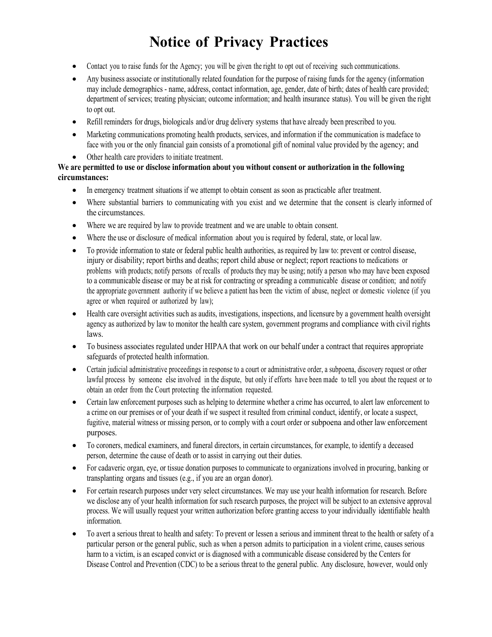- Contact you to raise funds for the Agency; you will be given the right to opt out of receiving such communications.
- Any business associate or institutionally related foundation for the purpose of raising funds for the agency (information may include demographics - name, address, contact information, age, gender, date of birth; dates of health care provided; department of services; treating physician; outcome information; and health insurance status). You will be given the right to opt out.
- Refill reminders for drugs, biologicals and/or drug delivery systems that have already been prescribed to you.
- Marketing communications promoting health products, services, and information if the communication is madeface to face with you or the only financial gain consists of a promotional gift of nominal value provided by the agency; and
- Other health care providers to initiate treatment.

### **We are permitted to use or disclose information about you without consent or authorization in the following circumstances:**

- In emergency treatment situations if we attempt to obtain consent as soon as practicable after treatment.
- Where substantial barriers to communicating with you exist and we determine that the consent is clearly informed of the circumstances.
- Where we are required by law to provide treatment and we are unable to obtain consent.
- Where the use or disclosure of medical information about you is required by federal, state, or local law.
- To provide information to state or federal public health authorities, as required by law to: prevent or control disease, injury or disability; report births and deaths; report child abuse or neglect; report reactions to medications or problems with products; notify persons of recalls of products they may be using; notify a person who may have been exposed to a communicable disease or may be at risk for contracting or spreading a communicable disease or condition; and notify the appropriate government authority if we believe a patient has been the victim of abuse, neglect or domestic violence (if you agree or when required or authorized by law);
- Health care oversight activities such as audits, investigations, inspections, and licensure by a government health oversight agency as authorized by law to monitor the health care system, government programs and compliance with civil rights laws.
- To business associates regulated under HIPAA that work on our behalf under a contract that requires appropriate safeguards of protected health information.
- Certain judicial administrative proceedings in response to a court or administrative order, a subpoena, discovery request or other lawful process by someone else involved in the dispute, but only if efforts have been made to tell you about the request or to obtain an order from the Court protecting the information requested.
- Certain law enforcement purposes such as helping to determine whether a crime has occurred, to alert law enforcement to a crime on our premises or of your death if we suspect it resulted from criminal conduct, identify, or locate a suspect, fugitive, material witness or missing person, or to comply with a court order or subpoena and other law enforcement purposes.
- To coroners, medical examiners, and funeral directors, in certain circumstances, for example, to identify a deceased person, determine the cause of death or to assist in carrying out their duties.
- For cadaveric organ, eye, or tissue donation purposes to communicate to organizations involved in procuring, banking or transplanting organs and tissues (e.g., if you are an organ donor).
- For certain research purposes under very select circumstances. We may use your health information for research. Before we disclose any of your health information for such research purposes, the project will be subject to an extensive approval process. We will usually request your written authorization before granting access to your individually identifiable health information.
- To avert a serious threat to health and safety: To prevent or lessen a serious and imminent threat to the health or safety of a particular person or the general public, such as when a person admits to participation in a violent crime, causes serious harm to a victim, is an escaped convict or is diagnosed with a communicable disease considered by the Centers for Disease Control and Prevention (CDC) to be a serious threat to the general public. Any disclosure, however, would only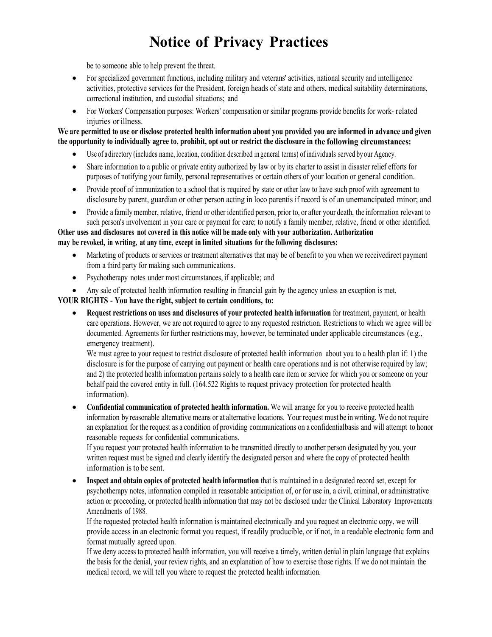be to someone able to help prevent the threat.

- For specialized government functions, including military and veterans' activities, national security and intelligence activities, protective services for the President, foreign heads of state and others, medical suitability determinations, correctional institution, and custodial situations; and
- For Workers' Compensation purposes: Workers' compensation or similar programs provide benefits for work- related injuries orillness.

### **We are permitted to use or disclose protected health information about you provided you are informed in advance and given the opportunity to individually agree to, prohibit, opt out or restrict the disclosure in the following circumstances:**

- Use of adirectory (includes name, location, condition described in general terms) ofindividuals served by our Agency.
- Share information to a public or private entity authorized by law or by its charter to assist in disaster relief efforts for purposes of notifying your family, personal representatives or certain others of your location or general condition.
- Provide proof of immunization to a school that is required by state or other law to have such proof with agreement to disclosure by parent, guardian or other person acting in loco parentis if record is of an unemancipated minor; and
- Provide a family member, relative, friend or other identified person, prior to, or after your death, the information relevant to such person's involvement in your care or payment for care; to notify a family member, relative, friend or other identified.

**Other uses and disclosures not covered in this notice will be made only with your authorization. Authorization may be revoked, in writing, at any time, except in limited situations for the following disclosures:**

- Marketing of products or services or treatment alternatives that may be of benefit to you when we receivedirect payment from a third party for making such communications.
- Psychotherapy notes under most circumstances, if applicable; and
- Any sale of protected health information resulting in financial gain by the agency unless an exception is met.

### **YOUR RIGHTS - You have the right, subject to certain conditions, to:**

• **Request restrictions on uses and disclosures of your protected health information** for treatment, payment, or health care operations. However, we are not required to agree to any requested restriction. Restrictions to which we agree will be documented. Agreements for further restrictions may, however, be terminated under applicable circumstances (e.g., emergency treatment).

We must agree to your request to restrict disclosure of protected health information about you to a health plan if: 1) the disclosure is for the purpose of carrying out payment or health care operations and is not otherwise required by law; and 2) the protected health information pertains solely to a health care item or service for which you or someone on your behalf paid the covered entity in full. (164.522 Rights to request privacy protection for protected health information).

• **Confidential communication of protected health information.** We will arrange for you to receive protected health information by reasonable alternative means or at alternative locations. Your request must be in writing. We do not require an explanation for the request as a condition of providing communications on a confidentialbasis and will attempt to honor reasonable requests for confidential communications.

If you request your protected health information to be transmitted directly to another person designated by you, your written request must be signed and clearly identify the designated person and where the copy of protected health information is to be sent.

• **Inspect and obtain copies of protected health information** that is maintained in a designated record set, except for psychotherapy notes, information compiled in reasonable anticipation of, or for use in, a civil, criminal, or administrative action or proceeding, or protected health information that may not be disclosed under the Clinical Laboratory Improvements Amendments of 1988.

If the requested protected health information is maintained electronically and you request an electronic copy, we will provide access in an electronic format you request, if readily producible, or if not, in a readable electronic form and format mutually agreed upon.

If we deny access to protected health information, you will receive a timely, written denial in plain language that explains the basis for the denial, your review rights, and an explanation of how to exercise those rights. If we do not maintain the medical record, we will tell you where to request the protected health information.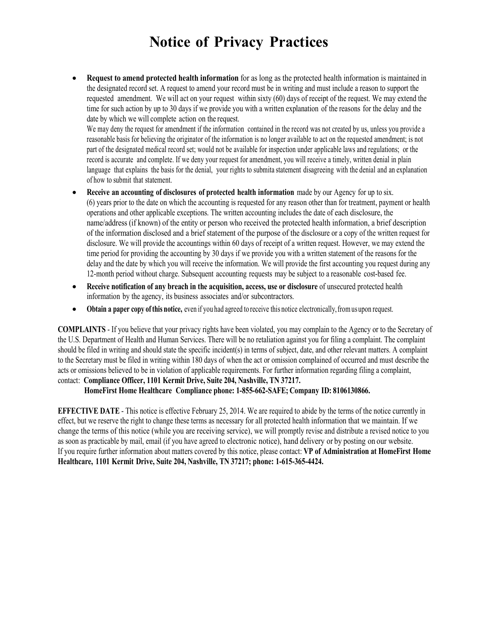• **Request to amend protected health information** for as long as the protected health information is maintained in the designated record set. A request to amend your record must be in writing and must include a reason to support the requested amendment. We will act on your request within sixty (60) days of receipt of the request. We may extend the time for such action by up to 30 days if we provide you with a written explanation of the reasons for the delay and the date by which we will complete action on the request.

We may deny the request for amendment if the information contained in the record was not created by us, unless you provide a reasonable basis for believing the originator of the information is no longer available to act on the requested amendment; is not part of the designated medical record set; would not be available for inspection under applicable laws and regulations; or the record is accurate and complete. If we deny your request for amendment, you will receive a timely, written denial in plain language that explains the basis for the denial, your rights to submita statement disagreeing with the denial and an explanation of how to submit that statement.

- **Receive an accounting of disclosures of protected health information** made by our Agency for up to six. (6) years prior to the date on which the accounting is requested for any reason other than for treatment, payment or health operations and other applicable exceptions. The written accounting includes the date of each disclosure, the name/address (if known) of the entity or person who received the protected health information, a brief description of the information disclosed and a brief statement of the purpose of the disclosure or a copy of the written request for disclosure. We will provide the accountings within 60 days of receipt of a written request. However, we may extend the time period for providing the accounting by 30 days if we provide you with a written statement of the reasons for the delay and the date by which you will receive the information. We will provide the first accounting you request during any 12-month period without charge. Subsequent accounting requests may be subject to a reasonable cost-based fee.
- **Receive notification of any breach in the acquisition, access, use or disclosure** of unsecured protected health information by the agency, its business associates and/or subcontractors.
- **Obtain a paper copy ofthis notice,** even if you had agreed to receive this notice electronically,from us upon request.

**COMPLAINTS** - If you believe that your privacy rights have been violated, you may complain to the Agency or to the Secretary of the U.S. Department of Health and Human Services. There will be no retaliation against you for filing a complaint. The complaint should be filed in writing and should state the specific incident(s) in terms of subject, date, and other relevant matters. A complaint to the Secretary must be filed in writing within 180 days of when the act or omission complained of occurred and must describe the acts or omissions believed to be in violation of applicable requirements. For further information regarding filing a complaint, contact: **Compliance Officer, 1101 Kermit Drive, Suite 204, Nashville, TN 37217.**

### **HomeFirst Home Healthcare Compliance phone: 1-855-662-SAFE; Company ID: 8106130866.**

**EFFECTIVE DATE** - This notice is effective February 25, 2014. We are required to abide by the terms of the notice currently in effect, but we reserve the right to change these terms as necessary for all protected health information that we maintain. If we change the terms of this notice (while you are receiving service), we will promptly revise and distribute a revised notice to you as soon as practicable by mail, email (if you have agreed to electronic notice), hand delivery or by posting on our website. If you require further information about matters covered by this notice, please contact: **VP of Administration at HomeFirst Home Healthcare, 1101 Kermit Drive, Suite 204, Nashville, TN 37217; phone: 1-615-365-4424.**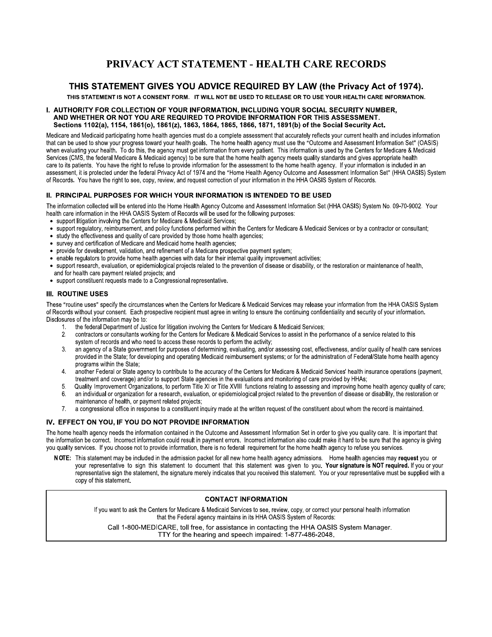## PRIVACY ACT STATEMENT - HEALTH CARE RECORDS

### THIS STATEMENT GIVES YOU ADVICE REQUIRED BY LAW (the Privacy Act of 1974).

THIS STATEMENT IS NOT A CONSENT FORM. IT WILL NOT BE USED TO RELEASE OR TO USE YOUR HEALTH CARE INFORMATION.

#### I. AUTHORITY FOR COLLECTION OF YOUR INFORMATION, INCLUDING YOUR SOCIAL SECURITY NUMBER, AND WHETHER OR NOT YOU ARE REQUIRED TO PROVIDE INFORMATION FOR THIS ASSESSMENT. Sections 1102(a), 1154, 1861(o), 1861(z), 1863, 1864, 1865, 1866, 1871, 1891(b) of the Social Security Act.

Medicare and Medicaid participating home health agencies must do a complete assessment that accurately reflects your current health and includes information that can be used to show your progress toward your health goals. The home health agency must use the "Outcome and Assessment Information Set" (OASIS) when evaluating your health. To do this, the agency must get information from every patient. This information is used by the Centers for Medicare & Medicaid Services (CMS, the federal Medicare & Medicaid agency) to be sure that the home health agency meets quality standards and gives appropriate health care to its patients. You have the right to refuse to provide information for the assessment to the home health agency. If your information is included in an assessment, it is protected under the federal Privacy Act of 1974 and the "Home Health Agency Outcome and Assessment Information Set" (HHA OASIS) System of Records. You have the right to see, copy, review, and request correction of your information in the HHA OASIS System of Records.

#### II. PRINCIPAL PURPOSES FOR WHICH YOUR INFORMATION IS INTENDED TO BE USED

The information collected will be entered into the Home Health Agency Outcome and Assessment Information Set (HHA OASIS) System No. 09-70-9002. Your health care information in the HHA OASIS System of Records will be used for the following purposes:

- support litigation involving the Centers for Medicare & Medicaid Services;
- support regulatory, reimbursement, and policy functions performed within the Centers for Medicare & Medicaid Services or by a contractor or consultant;
- study the effectiveness and quality of care provided by those home health agencies;
- survey and certification of Medicare and Medicaid home health agencies;
- provide for development, validation, and refinement of a Medicare prospective payment system;
- enable regulators to provide home health agencies with data for their internal quality improvement activities;
- support research, evaluation, or epidemiological projects related to the prevention of disease or disability, or the restoration or maintenance of health, and for health care payment related projects; and
- support constituent requests made to a Congressional representative.

#### **III. ROUTINE USES**

These "routine uses" specify the circumstances when the Centers for Medicare & Medicaid Services may release your information from the HHA OASIS System of Records without your consent. Each prospective recipient must agree in writing to ensure the continuing confidentiality and security of your information. Disclosures of the information may be to:

- the federal Department of Justice for litigation involving the Centers for Medicare & Medicaid Services;
- $2.$ contractors or consultants working for the Centers for Medicare & Medicaid Services to assist in the performance of a service related to this system of records and who need to access these records to perform the activity;
- an agency of a State government for purposes of determining, evaluating, and/or assessing cost, effectiveness, and/or quality of health care services  $3<sub>1</sub>$ provided in the State; for developing and operating Medicaid reimbursement systems; or for the administration of Federal/State home health agency programs within the State;
- $\overline{4}$ another Federal or State agency to contribute to the accuracy of the Centers for Medicare & Medicaid Services' health insurance operations (payment, treatment and coverage) and/or to support State agencies in the evaluations and monitoring of care provided by HHAs;
- Quality Improvement Organizations, to perform Title XI or Title XVIII functions relating to assessing and improving home health agency quality of care; 5.
- an individual or organization for a research, evaluation, or epidemiological project related to the prevention of disease or disability, the restoration or 6. maintenance of health, or payment related projects;
- 7. a congressional office in response to a constituent inquiry made at the written request of the constituent about whom the record is maintained.

#### IV. EFFECT ON YOU, IF YOU DO NOT PROVIDE INFORMATION

The home health agency needs the information contained in the Outcome and Assessment Information Set in order to give you quality care. It is important that the information be correct. Incorrect information could result in payment errors. Incorrect information also could make it hard to be sure that the agency is giving you quality services. If you choose not to provide information, there is no federal requirement for the home health agency to refuse you services.

NOTE: This statement may be included in the admission packet for all new home health agency admissions. Home health agencies may request you or your representative to sign this statement to document that this statement was given to you. Your signature is NOT required. If you or your representative sign the statement, the signature merely indicates that you received this statement. You or your representative must be supplied with a copy of this statement.

#### **CONTACT INFORMATION**

If you want to ask the Centers for Medicare & Medicaid Services to see, review, copy, or correct your personal health information that the Federal agency maintains in its HHA OASIS System of Records:

Call 1-800-MEDICARE, toll free, for assistance in contacting the HHA OASIS System Manager. TTY for the hearing and speech impaired: 1-877-486-2048.